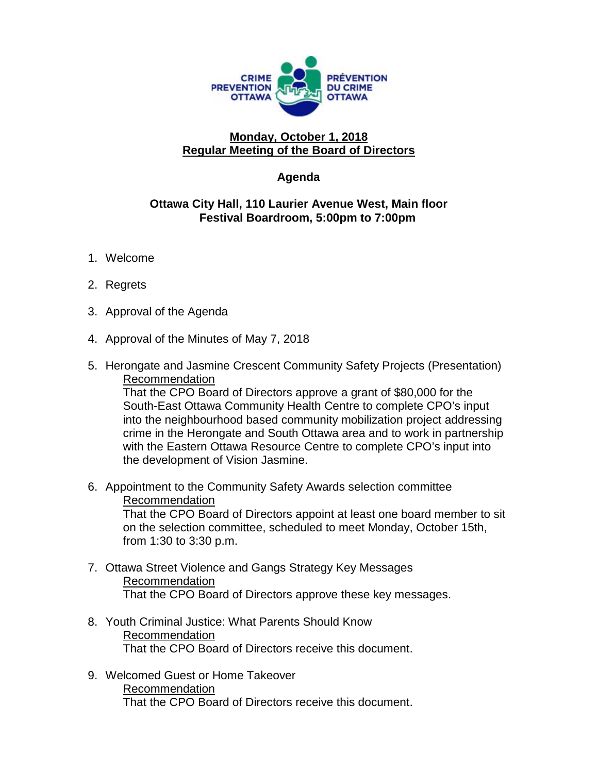

## **Monday, October 1, 2018 Regular Meeting of the Board of Directors**

## **Agenda**

## **Ottawa City Hall, 110 Laurier Avenue West, Main floor Festival Boardroom, 5:00pm to 7:00pm**

- 1. Welcome
- 2. Regrets
- 3. Approval of the Agenda
- 4. Approval of the Minutes of May 7, 2018
- 5. Herongate and Jasmine Crescent Community Safety Projects (Presentation) Recommendation

That the CPO Board of Directors approve a grant of \$80,000 for the South-East Ottawa Community Health Centre to complete CPO's input into the neighbourhood based community mobilization project addressing crime in the Herongate and South Ottawa area and to work in partnership with the Eastern Ottawa Resource Centre to complete CPO's input into the development of Vision Jasmine.

- 6. Appointment to the Community Safety Awards selection committee Recommendation That the CPO Board of Directors appoint at least one board member to sit on the selection committee, scheduled to meet Monday, October 15th, from 1:30 to 3:30 p.m.
- 7. Ottawa Street Violence and Gangs Strategy Key Messages Recommendation That the CPO Board of Directors approve these key messages.
- 8. Youth Criminal Justice: What Parents Should Know Recommendation That the CPO Board of Directors receive this document.
- 9. Welcomed Guest or Home Takeover Recommendation That the CPO Board of Directors receive this document.